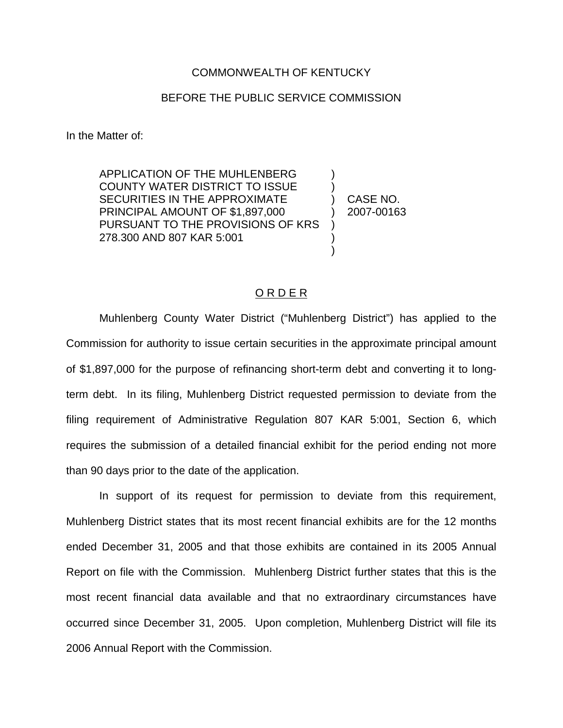## COMMONWEALTH OF KENTUCKY

## BEFORE THE PUBLIC SERVICE COMMISSION

In the Matter of:

APPLICATION OF THE MUHLENBERG COUNTY WATER DISTRICT TO ISSUE SECURITIES IN THE APPROXIMATE PRINCIPAL AMOUNT OF \$1,897,000 PURSUANT TO THE PROVISIONS OF KRS 278.300 AND 807 KAR 5:001

) CASE NO. ) 2007-00163

) )

) ) )

## O R D E R

Muhlenberg County Water District ("Muhlenberg District") has applied to the Commission for authority to issue certain securities in the approximate principal amount of \$1,897,000 for the purpose of refinancing short-term debt and converting it to longterm debt. In its filing, Muhlenberg District requested permission to deviate from the filing requirement of Administrative Regulation 807 KAR 5:001, Section 6, which requires the submission of a detailed financial exhibit for the period ending not more than 90 days prior to the date of the application.

In support of its request for permission to deviate from this requirement, Muhlenberg District states that its most recent financial exhibits are for the 12 months ended December 31, 2005 and that those exhibits are contained in its 2005 Annual Report on file with the Commission. Muhlenberg District further states that this is the most recent financial data available and that no extraordinary circumstances have occurred since December 31, 2005. Upon completion, Muhlenberg District will file its 2006 Annual Report with the Commission.